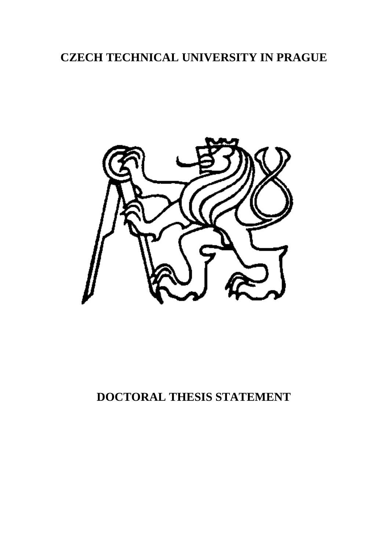# **CZECH TECHNICAL UNIVERSITY IN PRAGUE**



# **DOCTORAL THESIS STATEMENT**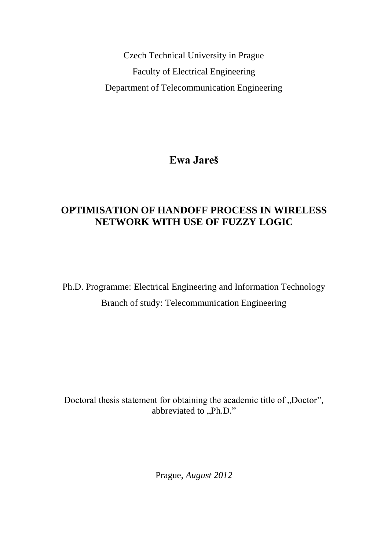Czech Technical University in Prague Faculty of Electrical Engineering Department of Telecommunication Engineering

**Ewa Jareš**

## **OPTIMISATION OF HANDOFF PROCESS IN WIRELESS NETWORK WITH USE OF FUZZY LOGIC**

Ph.D. Programme: Electrical Engineering and Information Technology Branch of study: Telecommunication Engineering

Doctoral thesis statement for obtaining the academic title of "Doctor", abbreviated to  $\overline{P}$ .Ph.D."

Prague, *August 2012*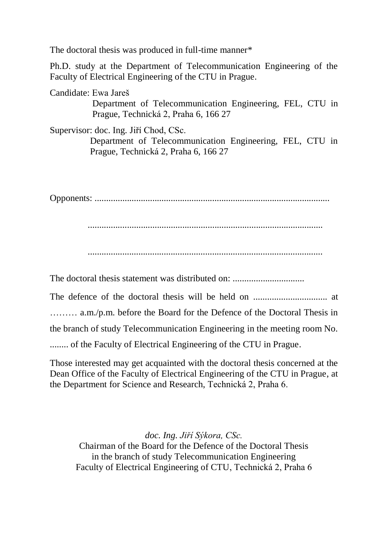The doctoral thesis was produced in full-time manner\*

Ph.D. study at the Department of Telecommunication Engineering of the Faculty of Electrical Engineering of the CTU in Prague.

Candidate: Ewa Jareš

 Department of Telecommunication Engineering, FEL, CTU in Prague, Technická 2, Praha 6, 166 27

Supervisor: doc. Ing. Jiří Chod, CSc.

 Department of Telecommunication Engineering, FEL, CTU in Prague, Technická 2, Praha 6, 166 27

Opponents: ......................................................................................................

......................................................................................................

The doctoral thesis statement was distributed on:

The defence of the doctoral thesis will be held on ................................ at

……… a.m./p.m. before the Board for the Defence of the Doctoral Thesis in

the branch of study Telecommunication Engineering in the meeting room No.

........ of the Faculty of Electrical Engineering of the CTU in Prague.

Those interested may get acquainted with the doctoral thesis concerned at the Dean Office of the Faculty of Electrical Engineering of the CTU in Prague, at the Department for Science and Research, Technická 2, Praha 6.

*doc. Ing. Jiří Sýkora, CSc.* Chairman of the Board for the Defence of the Doctoral Thesis in the branch of study Telecommunication Engineering Faculty of Electrical Engineering of CTU, Technická 2, Praha 6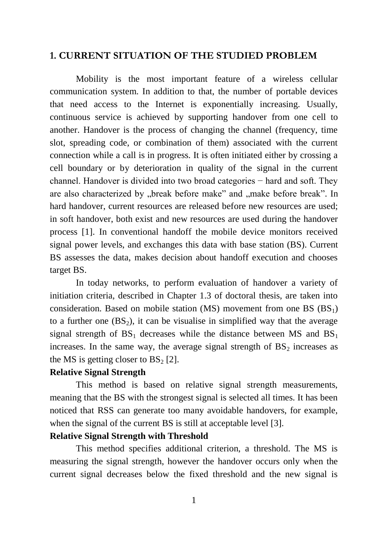### **1. CURRENT SITUATION OF THE STUDIED PROBLEM**

Mobility is the most important feature of a wireless cellular communication system. In addition to that, the number of portable devices that need access to the Internet is exponentially increasing. Usually, continuous service is achieved by supporting handover from one cell to another. Handover is the process of changing the channel (frequency, time slot, spreading code, or combination of them) associated with the current connection while a call is in progress. It is often initiated either by crossing a cell boundary or by deterioration in quality of the signal in the current channel. Handover is divided into two broad categories − hard and soft. They are also characterized by "break before make" and "make before break". In hard handover, current resources are released before new resources are used; in soft handover, both exist and new resources are used during the handover process [1]. In conventional handoff the mobile device monitors received signal power levels, and exchanges this data with base station (BS). Current BS assesses the data, makes decision about handoff execution and chooses target BS.

In today networks, to perform evaluation of handover a variety of initiation criteria, described in Chapter 1.3 of doctoral thesis, are taken into consideration. Based on mobile station (MS) movement from one BS  $(BS<sub>1</sub>)$ to a further one  $(BS_2)$ , it can be visualise in simplified way that the average signal strength of  $BS_1$  decreases while the distance between MS and  $BS_1$ increases. In the same way, the average signal strength of  $BS<sub>2</sub>$  increases as the MS is getting closer to  $BS<sub>2</sub>$  [2].

#### **Relative Signal Strength**

This method is based on relative signal strength measurements, meaning that the BS with the strongest signal is selected all times. It has been noticed that RSS can generate too many avoidable handovers, for example, when the signal of the current BS is still at acceptable level [3].

#### **Relative Signal Strength with Threshold**

This method specifies additional criterion, a threshold. The MS is measuring the signal strength, however the handover occurs only when the current signal decreases below the fixed threshold and the new signal is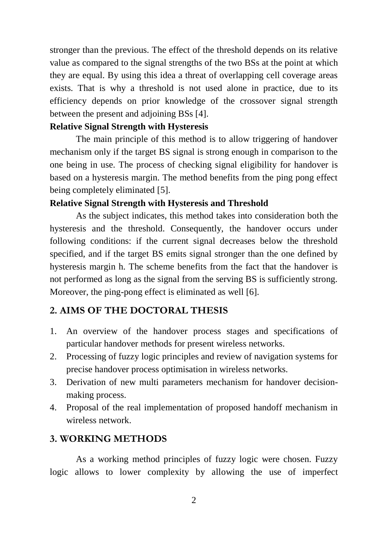stronger than the previous. The effect of the threshold depends on its relative value as compared to the signal strengths of the two BSs at the point at which they are equal. By using this idea a threat of overlapping cell coverage areas exists. That is why a threshold is not used alone in practice, due to its efficiency depends on prior knowledge of the crossover signal strength between the present and adjoining BSs [4].

#### **Relative Signal Strength with Hysteresis**

The main principle of this method is to allow triggering of handover mechanism only if the target BS signal is strong enough in comparison to the one being in use. The process of checking signal eligibility for handover is based on a hysteresis margin. The method benefits from the ping pong effect being completely eliminated [5].

#### **Relative Signal Strength with Hysteresis and Threshold**

As the subject indicates, this method takes into consideration both the hysteresis and the threshold. Consequently, the handover occurs under following conditions: if the current signal decreases below the threshold specified, and if the target BS emits signal stronger than the one defined by hysteresis margin h. The scheme benefits from the fact that the handover is not performed as long as the signal from the serving BS is sufficiently strong. Moreover, the ping-pong effect is eliminated as well [6].

#### **2. AIMS OF THE DOCTORAL THESIS**

- 1. An overview of the handover process stages and specifications of particular handover methods for present wireless networks.
- 2. Processing of fuzzy logic principles and review of navigation systems for precise handover process optimisation in wireless networks.
- 3. Derivation of new multi parameters mechanism for handover decisionmaking process.
- 4. Proposal of the real implementation of proposed handoff mechanism in wireless network.

### **3. WORKING METHODS**

As a working method principles of fuzzy logic were chosen. Fuzzy logic allows to lower complexity by allowing the use of imperfect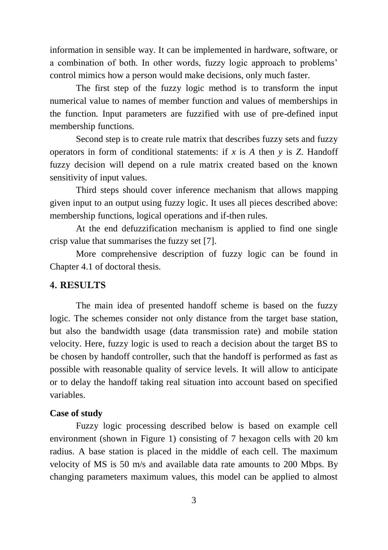information in sensible way. It can be implemented in hardware, software, or a combination of both. In other words, fuzzy logic approach to problems' control mimics how a person would make decisions, only much faster.

The first step of the fuzzy logic method is to transform the input numerical value to names of member function and values of memberships in the function. Input parameters are fuzzified with use of pre-defined input membership functions.

Second step is to create rule matrix that describes fuzzy sets and fuzzy operators in form of conditional statements: if *x* is *A* then *y* is *Z*. Handoff fuzzy decision will depend on a rule matrix created based on the known sensitivity of input values.

Third steps should cover inference mechanism that allows mapping given input to an output using fuzzy logic. It uses all pieces described above: membership functions, logical operations and if-then rules.

At the end defuzzification mechanism is applied to find one single crisp value that summarises the fuzzy set [7].

More comprehensive description of fuzzy logic can be found in Chapter 4.1 of doctoral thesis.

#### **4. RESULTS**

The main idea of presented handoff scheme is based on the fuzzy logic. The schemes consider not only distance from the target base station, but also the bandwidth usage (data transmission rate) and mobile station velocity. Here, fuzzy logic is used to reach a decision about the target BS to be chosen by handoff controller, such that the handoff is performed as fast as possible with reasonable quality of service levels. It will allow to anticipate or to delay the handoff taking real situation into account based on specified variables.

#### **Case of study**

Fuzzy logic processing described below is based on example cell environment (shown in [Figure 1\)](#page-7-0) consisting of 7 hexagon cells with 20 km radius. A base station is placed in the middle of each cell. The maximum velocity of MS is 50 m/s and available data rate amounts to 200 Mbps. By changing parameters maximum values, this model can be applied to almost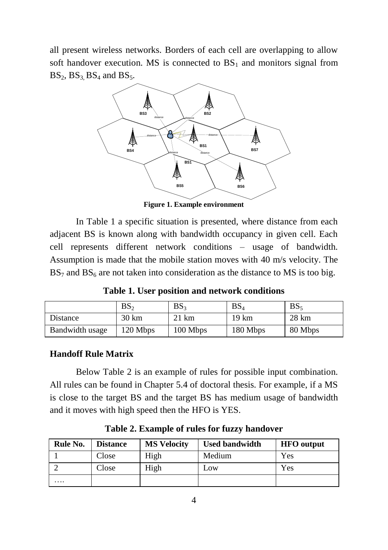all present wireless networks. Borders of each cell are overlapping to allow soft handover execution. MS is connected to  $BS<sub>1</sub>$  and monitors signal from  $BS_2$ ,  $BS_3$ ,  $BS_4$  and  $BS_5$ .



**Figure 1. Example environment**

<span id="page-7-0"></span>In [Table 1](#page-7-1) a specific situation is presented, where distance from each adjacent BS is known along with bandwidth occupancy in given cell. Each cell represents different network conditions – usage of bandwidth. Assumption is made that the mobile station moves with 40 m/s velocity. The  $BS<sub>7</sub>$  and  $BS<sub>6</sub>$  are not taken into consideration as the distance to MS is too big.

**Table 1. User position and network conditions**

<span id="page-7-1"></span>

|                 | BS <sub>2</sub> | BS <sub>3</sub> | BS <sub>4</sub> | BS <sub>5</sub> |
|-----------------|-----------------|-----------------|-----------------|-----------------|
| Distance        | 30 km           | 21 km           | 19 km           | $28 \text{ km}$ |
| Bandwidth usage | 120 Mbps        | $100$ Mbps      | 180 Mbps        | 80 Mbps         |

### **Handoff Rule Matrix**

Below [Table 2](#page-7-2) is an example of rules for possible input combination. All rules can be found in Chapter 5.4 of doctoral thesis. For example, if a MS is close to the target BS and the target BS has medium usage of bandwidth and it moves with high speed then the HFO is YES.

<span id="page-7-2"></span>

| Rule No. | <b>Distance</b> | <b>MS Velocity</b> | <b>Used bandwidth</b> | <b>HFO</b> output |
|----------|-----------------|--------------------|-----------------------|-------------------|
|          | Close           | High               | Medium                | Yes               |
|          | Close           | High               | Low                   | Yes               |
| .        |                 |                    |                       |                   |

**Table 2. Example of rules for fuzzy handover**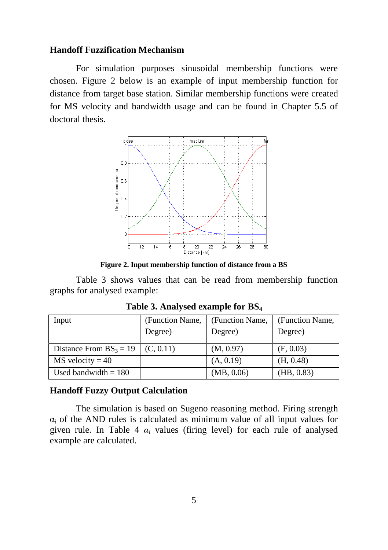#### **Handoff Fuzzification Mechanism**

For simulation purposes sinusoidal membership functions were chosen. [Figure 2](#page-8-0) below is an example of input membership function for distance from target base station. Similar membership functions were created for MS velocity and bandwidth usage and can be found in Chapter 5.5 of doctoral thesis.



**Figure 2. Input membership function of distance from a BS**

<span id="page-8-0"></span>[Table 3](#page-8-1) shows values that can be read from membership function graphs for analysed example:

<span id="page-8-1"></span>

| Input                     | (Function Name, | (Function Name, | (Function Name, |
|---------------------------|-----------------|-----------------|-----------------|
|                           | Degree)         | Degree)         | Degree)         |
| Distance From $BS_3 = 19$ | (C, 0.11)       | (M, 0.97)       | (F, 0.03)       |
| $MS$ velocity = 40        |                 | (A, 0.19)       | (H, 0.48)       |
| Used bandwidth $= 180$    |                 | (MB, 0.06)      | (HB, 0.83)      |

**Table 3. Analysed example for BS<sup>4</sup>**

#### **Handoff Fuzzy Output Calculation**

The simulation is based on Sugeno reasoning method. Firing strength  $\alpha_i$  of the AND rules is calculated as minimum value of all input values for given rule. In [Table 4](#page-9-0)  $\alpha_i$  values (firing level) for each rule of analysed example are calculated.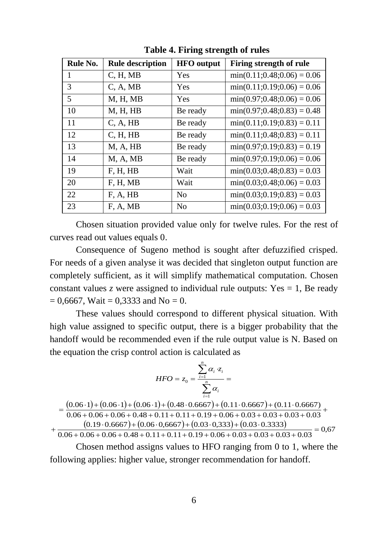<span id="page-9-0"></span>

| Rule No. | <b>Rule description</b> | <b>HFO</b> output | Firing strength of rule        |
|----------|-------------------------|-------------------|--------------------------------|
| 1        | C, H, MB                | Yes               | $min(0.11; 0.48; 0.06) = 0.06$ |
| 3        | C, A, MB                | Yes               | $min(0.11; 0.19; 0.06) = 0.06$ |
| 5        | M, H, MB                | Yes               | $min(0.97; 0.48; 0.06) = 0.06$ |
| 10       | M, H, HB                | Be ready          | $min(0.97; 0.48; 0.83) = 0.48$ |
| 11       | C, A, HB                | Be ready          | $min(0.11; 0.19; 0.83) = 0.11$ |
| 12       | C, H, HB                | Be ready          | $min(0.11; 0.48; 0.83) = 0.11$ |
| 13       | M, A, HB                | Be ready          | $min(0.97; 0.19; 0.83) = 0.19$ |
| 14       | M, A, MB                | Be ready          | $min(0.97; 0.19; 0.06) = 0.06$ |
| 19       | F, H, HB                | Wait              | $min(0.03; 0.48; 0.83) = 0.03$ |
| 20       | F, H, MB                | Wait              | $min(0.03; 0.48; 0.06) = 0.03$ |
| 22       | F, A, HB                | No                | $min(0.03; 0.19; 0.83) = 0.03$ |
| 23       | F, A, MB                | No                | $min(0.03; 0.19; 0.06) = 0.03$ |

**Table 4. Firing strength of rules**

Chosen situation provided value only for twelve rules. For the rest of curves read out values equals 0.

Consequence of Sugeno method is sought after defuzzified crisped. For needs of a given analyse it was decided that singleton output function are completely sufficient, as it will simplify mathematical computation. Chosen constant values *z* were assigned to individual rule outputs: Yes  $= 1$ , Be ready  $= 0.6667$ , Wait  $= 0.3333$  and No  $= 0$ .

These values should correspond to different physical situation. With high value assigned to specific output, there is a bigger probability that the handoff would be recommended even if the rule output value is N. Based on the equation the crisp control action is calculated as

$$
HFO = z_0 = \frac{\sum_{i=1}^{n} \alpha_i \cdot z_i}{\sum_{i=1}^{n} \alpha_i} =
$$

 $=\frac{(0.06 \cdot 1) + (0.06 \cdot 1) + (0.06 \cdot 1) + (0.48 \cdot 0.6667) + (0.11 \cdot 0.6667) + (0.11 \cdot 0.6667)}{0.11 \cdot 0.6667 + (0.11 \cdot 0.6667) + (0.11 \cdot 0.6667) + (0.11 \cdot 0.6667)}$  $(0.19 \cdot 0.6667) + (0.06 \cdot 0.6667) + (0.03 \cdot 0.333) + (0.03 \cdot 0.3333)$  $0.06 + 0.06 + 0.06 + 0.48 + 0.11 + 0.11 + 0.19 + 0.06 + 0.03 + 0.03 + 0.03 + 0.03$ 

 $+\frac{(0.19 \cdot 0.0007)+(0.00 \cdot 0,0007)+(0.03 \cdot 0,335)+(0.03 \cdot 0.3353)}{0.06 + 0.06 + 0.06 + 0.48 + 0.11 + 0.11 + 0.19 + 0.06 + 0.03 + 0.03 + 0.03 + 0.03} = 0,67$ 

Chosen method assigns values to HFO ranging from 0 to 1, where the following applies: higher value, stronger recommendation for handoff.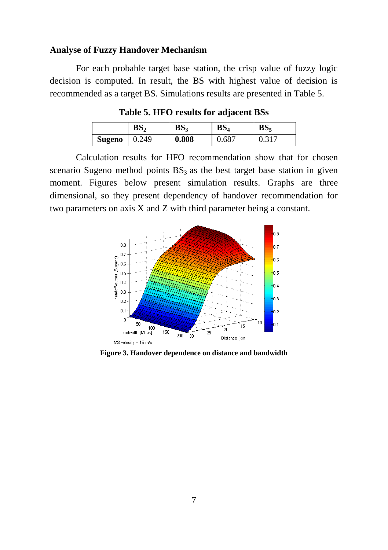#### **Analyse of Fuzzy Handover Mechanism**

<span id="page-10-0"></span>For each probable target base station, the crisp value of fuzzy logic decision is computed. In result, the BS with highest value of decision is recommended as a target BS. Simulations results are presented in [Table 5.](#page-10-0)

**Table 5. HFO results for adjacent BSs**

|        | BS,   | BS <sub>3</sub> | BS <sub>4</sub> | BS.   |
|--------|-------|-----------------|-----------------|-------|
| Sugeno | 0.249 | 0.808           | 0.687           | 0.317 |

Calculation results for HFO recommendation show that for chosen scenario Sugeno method points  $BS_3$  as the best target base station in given moment. Figures below present simulation results. Graphs are three dimensional, so they present dependency of handover recommendation for two parameters on axis X and Z with third parameter being a constant.



**Figure 3. Handover dependence on distance and bandwidth**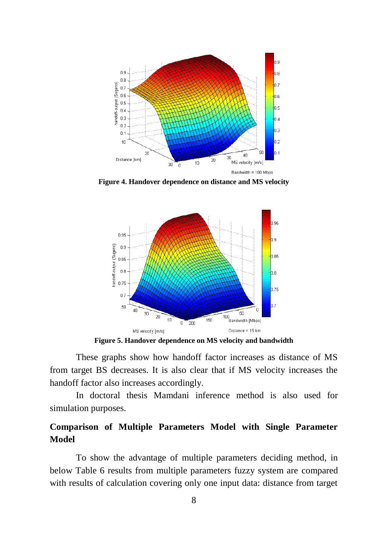

**Figure 4. Handover dependence on distance and MS velocity**



**Figure 5. Handover dependence on MS velocity and bandwidth**

These graphs show how handoff factor increases as distance of MS from target BS decreases. It is also clear that if MS velocity increases the handoff factor also increases accordingly.

In doctoral thesis Mamdani inference method is also used for simulation purposes.

## **Comparison of Multiple Parameters Model with Single Parameter Model**

To show the advantage of multiple parameters deciding method, in below [Table 6](#page-12-0) results from multiple parameters fuzzy system are compared with results of calculation covering only one input data: distance from target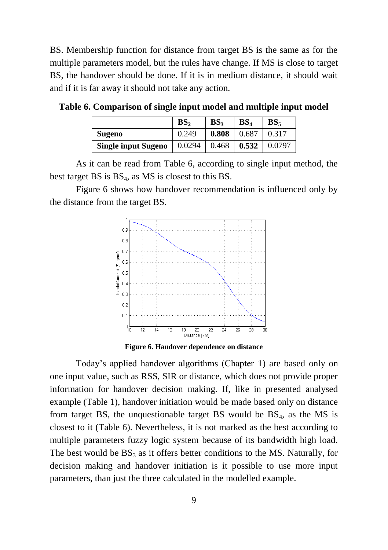BS. Membership function for distance from target BS is the same as for the multiple parameters model, but the rules have change. If MS is close to target BS, the handover should be done. If it is in medium distance, it should wait and if it is far away it should not take any action.

|                            | BS,    | BS <sub>2</sub> | BS <sub>4</sub> | BS <sub>z</sub> |
|----------------------------|--------|-----------------|-----------------|-----------------|
| <b>Sugeno</b>              | 0.249  | 0.808           | 0.687           | 0.317           |
| <b>Single input Sugeno</b> | 0.0294 | 0.468           | 0.532           | 0.0797          |

<span id="page-12-0"></span>**Table 6. Comparison of single input model and multiple input model**

As it can be read from [Table 6,](#page-12-0) according to single input method, the best target BS is  $BS_4$ , as MS is closest to this BS.

[Figure 6](#page-12-1) shows how handover recommendation is influenced only by the distance from the target BS.



**Figure 6. Handover dependence on distance**

<span id="page-12-1"></span>Today's applied handover algorithms (Chapter 1) are based only on one input value, such as RSS, SIR or distance, which does not provide proper information for handover decision making. If, like in presented analysed example [\(Table 1\)](#page-7-1), handover initiation would be made based only on distance from target BS, the unquestionable target BS would be  $BS_4$ , as the MS is closest to it [\(Table 6\)](#page-12-0). Nevertheless, it is not marked as the best according to multiple parameters fuzzy logic system because of its bandwidth high load. The best would be  $BS_3$  as it offers better conditions to the MS. Naturally, for decision making and handover initiation is it possible to use more input parameters, than just the three calculated in the modelled example.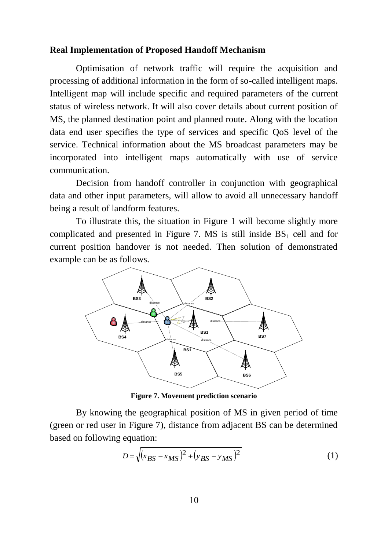#### **Real Implementation of Proposed Handoff Mechanism**

Optimisation of network traffic will require the acquisition and processing of additional information in the form of so-called intelligent maps. Intelligent map will include specific and required parameters of the current status of wireless network. It will also cover details about current position of MS, the planned destination point and planned route. Along with the location data end user specifies the type of services and specific QoS level of the service. Technical information about the MS broadcast parameters may be incorporated into intelligent maps automatically with use of service communication.

Decision from handoff controller in conjunction with geographical data and other input parameters, will allow to avoid all unnecessary handoff being a result of landform features.

To illustrate this, the situation in [Figure 1](#page-7-0) will become slightly more complicated and presented in [Figure 7.](#page-13-0) MS is still inside  $BS<sub>1</sub>$  cell and for current position handover is not needed. Then solution of demonstrated example can be as follows.



**Figure 7. Movement prediction scenario**

<span id="page-13-0"></span>By knowing the geographical position of MS in given period of time (green or red user in [Figure 7\)](#page-13-0), distance from adjacent BS can be determined based on following equation:

$$
D = \sqrt{(x_{BS} - x_{MS})^2 + (y_{BS} - y_{MS})^2}
$$
 (1)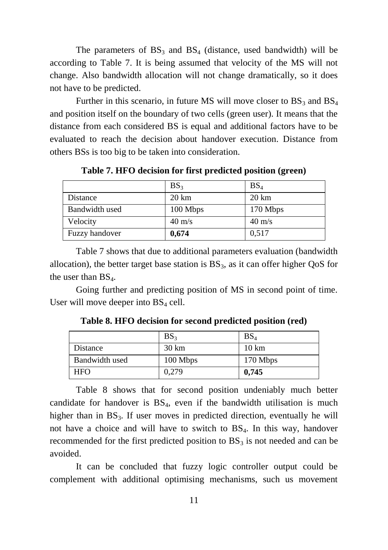The parameters of  $BS_3$  and  $BS_4$  (distance, used bandwidth) will be according to [Table 7.](#page-14-0) It is being assumed that velocity of the MS will not change. Also bandwidth allocation will not change dramatically, so it does not have to be predicted.

Further in this scenario, in future MS will move closer to  $BS_3$  and  $BS_4$ and position itself on the boundary of two cells (green user). It means that the distance from each considered BS is equal and additional factors have to be evaluated to reach the decision about handover execution. Distance from others BSs is too big to be taken into consideration.

<span id="page-14-0"></span> $BS_3$  BS<sub>4</sub> Distance 20 km 20 km Bandwidth used 100 Mbps 170 Mbps Velocity  $40 \text{ m/s}$  40 m/s Fuzzy handover **0,674** 0,517

**Table 7. HFO decision for first predicted position (green)**

[Table 7](#page-14-0) shows that due to additional parameters evaluation (bandwidth allocation), the better target base station is  $BS_3$ , as it can offer higher QoS for the user than  $BS_4$ .

<span id="page-14-1"></span>Going further and predicting position of MS in second point of time. User will move deeper into  $BS_4$  cell.

|                | BS <sub>3</sub>  | BS <sub>4</sub> |
|----------------|------------------|-----------------|
| Distance       | $30 \mathrm{km}$ | $10 \text{ km}$ |
| Bandwidth used | 100 Mbps         | 170 Mbps        |
| <b>HFO</b>     | 0.279            | 0,745           |

**Table 8. HFO decision for second predicted position (red)**

[Table 8](#page-14-1) shows that for second position undeniably much better candidate for handover is  $BS<sub>4</sub>$ , even if the bandwidth utilisation is much higher than in  $BS_3$ . If user moves in predicted direction, eventually he will not have a choice and will have to switch to  $BS_4$ . In this way, handover recommended for the first predicted position to  $BS_3$  is not needed and can be avoided.

It can be concluded that fuzzy logic controller output could be complement with additional optimising mechanisms, such us movement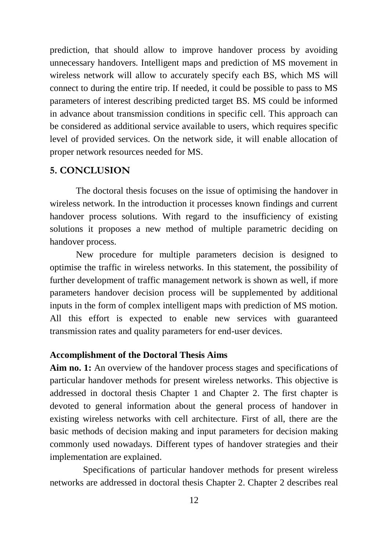prediction, that should allow to improve handover process by avoiding unnecessary handovers. Intelligent maps and prediction of MS movement in wireless network will allow to accurately specify each BS, which MS will connect to during the entire trip. If needed, it could be possible to pass to MS parameters of interest describing predicted target BS. MS could be informed in advance about transmission conditions in specific cell. This approach can be considered as additional service available to users, which requires specific level of provided services. On the network side, it will enable allocation of proper network resources needed for MS.

#### **5. CONCLUSION**

The doctoral thesis focuses on the issue of optimising the handover in wireless network. In the introduction it processes known findings and current handover process solutions. With regard to the insufficiency of existing solutions it proposes a new method of multiple parametric deciding on handover process.

New procedure for multiple parameters decision is designed to optimise the traffic in wireless networks. In this statement, the possibility of further development of traffic management network is shown as well, if more parameters handover decision process will be supplemented by additional inputs in the form of complex intelligent maps with prediction of MS motion. All this effort is expected to enable new services with guaranteed transmission rates and quality parameters for end-user devices.

#### **Accomplishment of the Doctoral Thesis Aims**

**Aim no. 1:** An overview of the handover process stages and specifications of particular handover methods for present wireless networks. This objective is addressed in doctoral thesis Chapter 1 and Chapter 2. The first chapter is devoted to general information about the general process of handover in existing wireless networks with cell architecture. First of all, there are the basic methods of decision making and input parameters for decision making commonly used nowadays. Different types of handover strategies and their implementation are explained.

Specifications of particular handover methods for present wireless networks are addressed in doctoral thesis Chapter 2. Chapter 2 describes real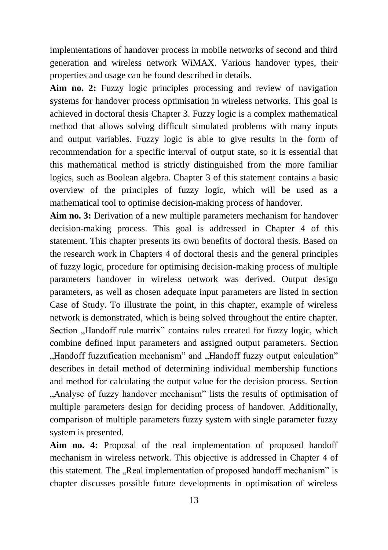implementations of handover process in mobile networks of second and third generation and wireless network WiMAX. Various handover types, their properties and usage can be found described in details.

**Aim no. 2:** Fuzzy logic principles processing and review of navigation systems for handover process optimisation in wireless networks. This goal is achieved in doctoral thesis Chapter 3. Fuzzy logic is a complex mathematical method that allows solving difficult simulated problems with many inputs and output variables. Fuzzy logic is able to give results in the form of recommendation for a specific interval of output state, so it is essential that this mathematical method is strictly distinguished from the more familiar logics, such as Boolean algebra. Chapter 3 of this statement contains a basic overview of the principles of fuzzy logic, which will be used as a mathematical tool to optimise decision-making process of handover.

**Aim no. 3:** Derivation of a new multiple parameters mechanism for handover decision-making process. This goal is addressed in Chapter 4 of this statement. This chapter presents its own benefits of doctoral thesis. Based on the research work in Chapters 4 of doctoral thesis and the general principles of fuzzy logic, procedure for optimising decision-making process of multiple parameters handover in wireless network was derived. Output design parameters, as well as chosen adequate input parameters are listed in section Case of Study. To illustrate the point, in this chapter, example of wireless network is demonstrated, which is being solved throughout the entire chapter. Section "Handoff rule matrix" contains rules created for fuzzy logic, which combine defined input parameters and assigned output parameters. Section "Handoff fuzzufication mechanism" and "Handoff fuzzy output calculation" describes in detail method of determining individual membership functions and method for calculating the output value for the decision process. Section ...Analyse of fuzzy handover mechanism" lists the results of optimisation of multiple parameters design for deciding process of handover. Additionally, comparison of multiple parameters fuzzy system with single parameter fuzzy system is presented.

**Aim no. 4:** Proposal of the real implementation of proposed handoff mechanism in wireless network. This objective is addressed in Chapter 4 of this statement. The "Real implementation of proposed handoff mechanism" is chapter discusses possible future developments in optimisation of wireless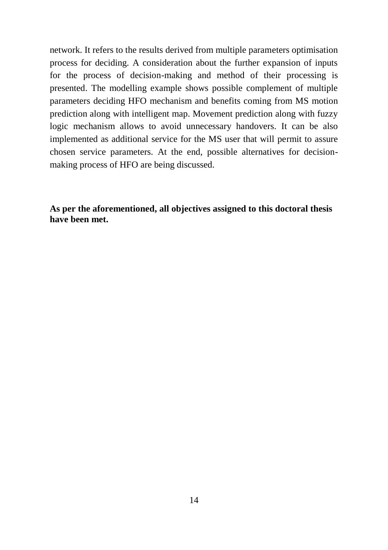network. It refers to the results derived from multiple parameters optimisation process for deciding. A consideration about the further expansion of inputs for the process of decision-making and method of their processing is presented. The modelling example shows possible complement of multiple parameters deciding HFO mechanism and benefits coming from MS motion prediction along with intelligent map. Movement prediction along with fuzzy logic mechanism allows to avoid unnecessary handovers. It can be also implemented as additional service for the MS user that will permit to assure chosen service parameters. At the end, possible alternatives for decisionmaking process of HFO are being discussed.

**As per the aforementioned, all objectives assigned to this doctoral thesis have been met.**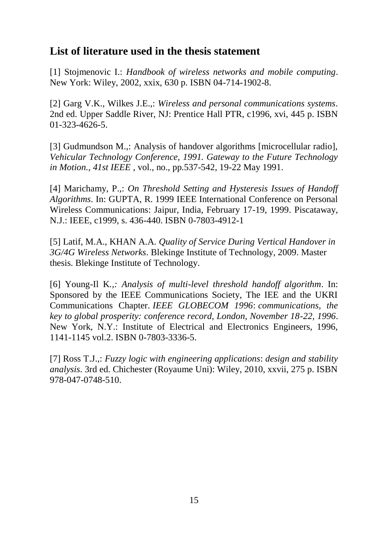## **List of literature used in the thesis statement**

[1] Stojmenovic I.: *Handbook of wireless networks and mobile computing*. New York: Wiley, 2002, xxix, 630 p. ISBN 04-714-1902-8.

[2] Garg V.K., Wilkes J.E.,: *Wireless and personal communications systems*. 2nd ed. Upper Saddle River, NJ: Prentice Hall PTR, c1996, xvi, 445 p. ISBN 01-323-4626-5.

[3] Gudmundson M.,: Analysis of handover algorithms [microcellular radio], *Vehicular Technology Conference, 1991. Gateway to the Future Technology in Motion., 41st IEEE* , vol., no., pp.537-542, 19-22 May 1991.

[4] Marichamy, P.,: *On Threshold Setting and Hysteresis Issues of Handoff Algorithms*. In: GUPTA, R. 1999 IEEE International Conference on Personal Wireless Communications: Jaipur, India, February 17-19, 1999. Piscataway, N.J.: IEEE, c1999, s. 436-440. ISBN 0-7803-4912-1

[5] Latif, M.A., KHAN A.A. *Quality of Service During Vertical Handover in 3G/4G Wireless Networks*. Blekinge Institute of Technology, 2009. Master thesis. Blekinge Institute of Technology.

[6] Young-Il K*.,: Analysis of multi-level threshold handoff algorithm*. In: Sponsored by the IEEE Communications Society, The IEE and the UKRI Communications Chapter. *IEEE GLOBECOM 1996*: *communications, the key to global prosperity: conference record, London, November 18-22, 1996*. New York, N.Y.: Institute of Electrical and Electronics Engineers, 1996, 1141-1145 vol.2. ISBN 0-7803-3336-5.

[7] Ross T.J.,: *Fuzzy logic with engineering applications*: *design and stability analysis*. 3rd ed. Chichester (Royaume Uni): Wiley, 2010, xxvii, 275 p. ISBN 978-047-0748-510.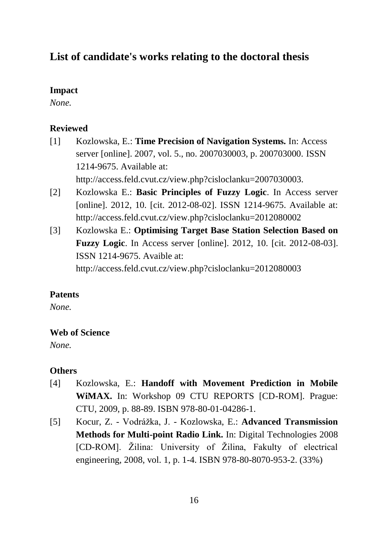## **List of candidate's works relating to the doctoral thesis**

#### **Impact**

*None.*

#### **Reviewed**

- [1] Kozlowska, E.: **Time Precision of Navigation Systems.** In: Access server [online]. 2007, vol. 5., no. 2007030003, p. 200703000. ISSN 1214-9675. Available at: http://access.feld.cvut.cz/view.php?cisloclanku=2007030003.
- [2] Kozlowska E.: **Basic Principles of Fuzzy Logic**. In Access server [online]. 2012, 10. [cit. 2012-08-02]. ISSN 1214-9675. Available at: http://access.feld.cvut.cz/view.php?cisloclanku=2012080002
- [3] Kozlowska E.: **Optimising Target Base Station Selection Based on Fuzzy Logic**. In Access server [online]. 2012, 10. [cit. 2012-08-03]. ISSN 1214-9675. Avaible at: http://access.feld.cvut.cz/view.php?cisloclanku=2012080003

#### **Patents**

*None.*

#### **Web of Science**

*None.*

#### **Others**

- [4] Kozlowska, E.: **Handoff with Movement Prediction in Mobile WiMAX.** In: Workshop 09 CTU REPORTS [CD-ROM]. Prague: CTU, 2009, p. 88-89. ISBN 978-80-01-04286-1.
- [5] Kocur, Z. Vodrážka, J. Kozlowska, E.: **Advanced Transmission Methods for Multi-point Radio Link.** In: Digital Technologies 2008 [CD-ROM]. Žilina: University of Žilina, Fakulty of electrical engineering, 2008, vol. 1, p. 1-4. ISBN 978-80-8070-953-2. (33%)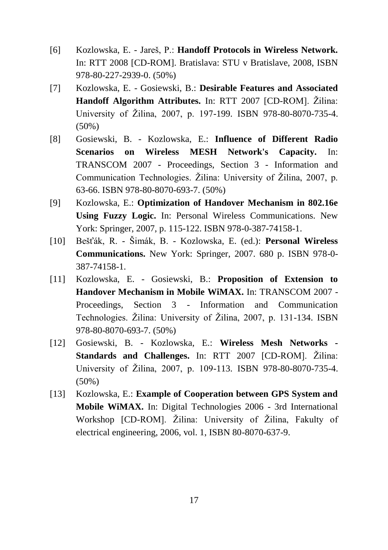- [6] Kozlowska, E. Jareš, P.: **Handoff Protocols in Wireless Network.**  In: RTT 2008 [CD-ROM]. Bratislava: STU v Bratislave, 2008, ISBN 978-80-227-2939-0. (50%)
- [7] Kozlowska, E. Gosiewski, B.: **Desirable Features and Associated Handoff Algorithm Attributes.** In: RTT 2007 [CD-ROM]. Žilina: University of Žilina, 2007, p. 197-199. ISBN 978-80-8070-735-4.  $(50\%)$
- [8] Gosiewski, B. Kozlowska, E.: **Influence of Different Radio Scenarios on Wireless MESH Network's Capacity.** In: TRANSCOM 2007 - Proceedings, Section 3 - Information and Communication Technologies. Žilina: University of Žilina, 2007, p. 63-66. ISBN 978-80-8070-693-7. (50%)
- [9] Kozlowska, E.: **Optimization of Handover Mechanism in 802.16e Using Fuzzy Logic.** In: Personal Wireless Communications. New York: Springer, 2007, p. 115-122. ISBN 978-0-387-74158-1.
- [10] Bešťák, R. Šimák, B. Kozlowska, E. (ed.): **Personal Wireless Communications.** New York: Springer, 2007. 680 p. ISBN 978-0- 387-74158-1.
- [11] Kozlowska, E. Gosiewski, B.: **Proposition of Extension to Handover Mechanism in Mobile WiMAX.** In: TRANSCOM 2007 - Proceedings, Section 3 - Information and Communication Technologies. Žilina: University of Žilina, 2007, p. 131-134. ISBN 978-80-8070-693-7. (50%)
- [12] Gosiewski, B. Kozlowska, E.: **Wireless Mesh Networks - Standards and Challenges.** In: RTT 2007 [CD-ROM]. Žilina: University of Žilina, 2007, p. 109-113. ISBN 978-80-8070-735-4.  $(50\%)$
- [13] Kozlowska, E.: **Example of Cooperation between GPS System and Mobile WiMAX.** In: Digital Technologies 2006 - 3rd International Workshop [CD-ROM]. Žilina: University of Žilina, Fakulty of electrical engineering, 2006, vol. 1, ISBN 80-8070-637-9.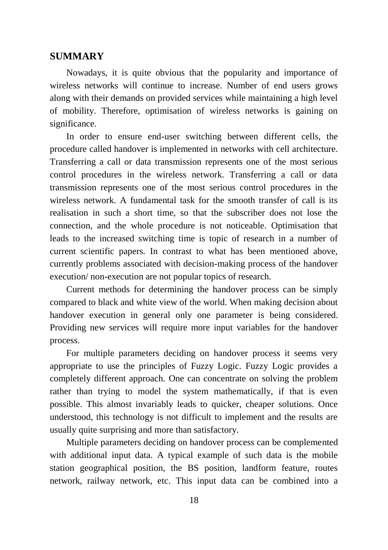#### **SUMMARY**

Nowadays, it is quite obvious that the popularity and importance of wireless networks will continue to increase. Number of end users grows along with their demands on provided services while maintaining a high level of mobility. Therefore, optimisation of wireless networks is gaining on significance.

In order to ensure end-user switching between different cells, the procedure called handover is implemented in networks with cell architecture. Transferring a call or data transmission represents one of the most serious control procedures in the wireless network. Transferring a call or data transmission represents one of the most serious control procedures in the wireless network. A fundamental task for the smooth transfer of call is its realisation in such a short time, so that the subscriber does not lose the connection, and the whole procedure is not noticeable. Optimisation that leads to the increased switching time is topic of research in a number of current scientific papers. In contrast to what has been mentioned above, currently problems associated with decision-making process of the handover execution/ non-execution are not popular topics of research.

Current methods for determining the handover process can be simply compared to black and white view of the world. When making decision about handover execution in general only one parameter is being considered. Providing new services will require more input variables for the handover process.

For multiple parameters deciding on handover process it seems very appropriate to use the principles of Fuzzy Logic. Fuzzy Logic provides a completely different approach. One can concentrate on solving the problem rather than trying to model the system mathematically, if that is even possible. This almost invariably leads to quicker, cheaper solutions. Once understood, this technology is not difficult to implement and the results are usually quite surprising and more than satisfactory.

Multiple parameters deciding on handover process can be complemented with additional input data. A typical example of such data is the mobile station geographical position, the BS position, landform feature, routes network, railway network, etc. This input data can be combined into a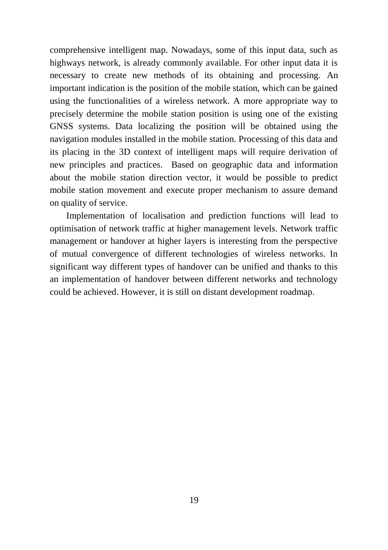comprehensive intelligent map. Nowadays, some of this input data, such as highways network, is already commonly available. For other input data it is necessary to create new methods of its obtaining and processing. An important indication is the position of the mobile station, which can be gained using the functionalities of a wireless network. A more appropriate way to precisely determine the mobile station position is using one of the existing GNSS systems. Data localizing the position will be obtained using the navigation modules installed in the mobile station. Processing of this data and its placing in the 3D context of intelligent maps will require derivation of new principles and practices. Based on geographic data and information about the mobile station direction vector, it would be possible to predict mobile station movement and execute proper mechanism to assure demand on quality of service.

Implementation of localisation and prediction functions will lead to optimisation of network traffic at higher management levels. Network traffic management or handover at higher layers is interesting from the perspective of mutual convergence of different technologies of wireless networks. In significant way different types of handover can be unified and thanks to this an implementation of handover between different networks and technology could be achieved. However, it is still on distant development roadmap.